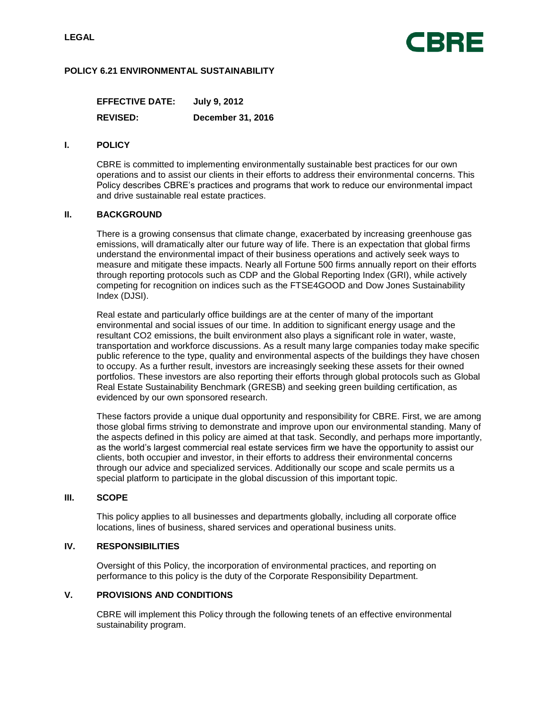

## **POLICY 6.21 ENVIRONMENTAL SUSTAINABILITY**

**EFFECTIVE DATE: July 9, 2012 REVISED: December 31, 2016**

#### **I. POLICY**

CBRE is committed to implementing environmentally sustainable best practices for our own operations and to assist our clients in their efforts to address their environmental concerns. This Policy describes CBRE's practices and programs that work to reduce our environmental impact and drive sustainable real estate practices.

### **II. BACKGROUND**

There is a growing consensus that climate change, exacerbated by increasing greenhouse gas emissions, will dramatically alter our future way of life. There is an expectation that global firms understand the environmental impact of their business operations and actively seek ways to measure and mitigate these impacts. Nearly all Fortune 500 firms annually report on their efforts through reporting protocols such as CDP and the Global Reporting Index (GRI), while actively competing for recognition on indices such as the FTSE4GOOD and Dow Jones Sustainability Index (DJSI).

Real estate and particularly office buildings are at the center of many of the important environmental and social issues of our time. In addition to significant energy usage and the resultant CO2 emissions, the built environment also plays a significant role in water, waste, transportation and workforce discussions. As a result many large companies today make specific public reference to the type, quality and environmental aspects of the buildings they have chosen to occupy. As a further result, investors are increasingly seeking these assets for their owned portfolios. These investors are also reporting their efforts through global protocols such as Global Real Estate Sustainability Benchmark (GRESB) and seeking green building certification, as evidenced by our own sponsored research.

These factors provide a unique dual opportunity and responsibility for CBRE. First, we are among those global firms striving to demonstrate and improve upon our environmental standing. Many of the aspects defined in this policy are aimed at that task. Secondly, and perhaps more importantly, as the world's largest commercial real estate services firm we have the opportunity to assist our clients, both occupier and investor, in their efforts to address their environmental concerns through our advice and specialized services. Additionally our scope and scale permits us a special platform to participate in the global discussion of this important topic.

#### **III. SCOPE**

This policy applies to all businesses and departments globally, including all corporate office locations, lines of business, shared services and operational business units.

### **IV. RESPONSIBILITIES**

Oversight of this Policy, the incorporation of environmental practices, and reporting on performance to this policy is the duty of the Corporate Responsibility Department.

## **V. PROVISIONS AND CONDITIONS**

CBRE will implement this Policy through the following tenets of an effective environmental sustainability program.